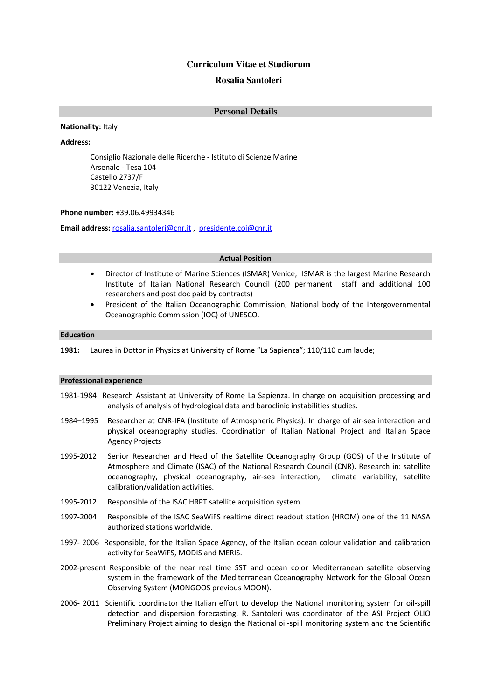# **Curriculum Vitae et Studiorum Rosalia Santoleri**

# **Personal Details**

**Nationality:** Italy

**Address:**

Consiglio Nazionale delle Ricerche - Istituto di Scienze Marine Arsenale - Tesa 104 Castello 2737/F 30122 Venezia, Italy

### **Phone number: +**39.06.49934346

**Email address:** rosalia.santoleri@cnr.it , presidente.coi@cnr.it

#### **Actual Position**

- Director of Institute of Marine Sciences (ISMAR) Venice; ISMAR is the largest Marine Research Institute of Italian National Research Council (200 permanent staff and additional 100 researchers and post doc paid by contracts)
- President of the Italian Oceanographic Commission, National body of the Intergovernmental Oceanographic Commission (IOC) of UNESCO.

### **Education**

**1981:** Laurea in Dottor in Physics at University of Rome "La Sapienza"; 110/110 cum laude;

# **Professional experience**

- 1981-1984 Research Assistant at University of Rome La Sapienza. In charge on acquisition processing and analysis of analysis of hydrological data and baroclinic instabilities studies.
- 1984–1995 Researcher at CNR-IFA (Institute of Atmospheric Physics). In charge of air-sea interaction and physical oceanography studies. Coordination of Italian National Project and Italian Space Agency Projects
- 1995-2012 Senior Researcher and Head of the Satellite Oceanography Group (GOS) of the Institute of Atmosphere and Climate (ISAC) of the National Research Council (CNR). Research in: satellite oceanography, physical oceanography, air-sea interaction, climate variability, satellite calibration/validation activities.
- 1995-2012 Responsible of the ISAC HRPT satellite acquisition system.
- 1997-2004 Responsible of the ISAC SeaWiFS realtime direct readout station (HROM) one of the 11 NASA authorized stations worldwide.
- 1997- 2006 Responsible, for the Italian Space Agency, of the Italian ocean colour validation and calibration activity for SeaWiFS, MODIS and MERIS.
- 2002-present Responsible of the near real time SST and ocean color Mediterranean satellite observing system in the framework of the Mediterranean Oceanography Network for the Global Ocean Observing System (MONGOOS previous MOON).
- 2006- 2011 Scientific coordinator the Italian effort to develop the National monitoring system for oil-spill detection and dispersion forecasting. R. Santoleri was coordinator of the ASI Project OLIO Preliminary Project aiming to design the National oil-spill monitoring system and the Scientific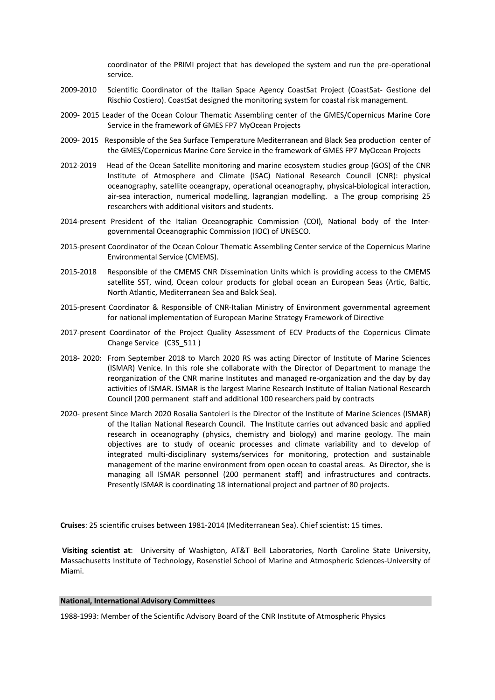coordinator of the PRIMI project that has developed the system and run the pre-operational service.

- 2009-2010 Scientific Coordinator of the Italian Space Agency CoastSat Project (CoastSat- Gestione del Rischio Costiero). CoastSat designed the monitoring system for coastal risk management.
- 2009- 2015 Leader of the Ocean Colour Thematic Assembling center of the GMES/Copernicus Marine Core Service in the framework of GMES FP7 MyOcean Projects
- 2009- 2015 Responsible of the Sea Surface Temperature Mediterranean and Black Sea production center of the GMES/Copernicus Marine Core Service in the framework of GMES FP7 MyOcean Projects
- 2012-2019 Head of the Ocean Satellite monitoring and marine ecosystem studies group (GOS) of the CNR Institute of Atmosphere and Climate (ISAC) National Research Council (CNR): physical oceanography, satellite oceangrapy, operational oceanography, physical-biological interaction, air-sea interaction, numerical modelling, lagrangian modelling. a The group comprising 25 researchers with additional visitors and students.
- 2014-present President of the Italian Oceanographic Commission (COI), National body of the Intergovernmental Oceanographic Commission (IOC) of UNESCO.
- 2015-present Coordinator of the Ocean Colour Thematic Assembling Center service of the Copernicus Marine Environmental Service (CMEMS).
- 2015-2018 Responsible of the CMEMS CNR Dissemination Units which is providing access to the CMEMS satellite SST, wind, Ocean colour products for global ocean an European Seas (Artic, Baltic, North Atlantic, Mediterranean Sea and Balck Sea).
- 2015-present Coordinator & Responsible of CNR-Italian Ministry of Environment governmental agreement for national implementation of European Marine Strategy Framework of Directive
- 2017-present Coordinator of the Project Quality Assessment of ECV Products of the Copernicus Climate Change Service (C3S\_511 )
- 2018- 2020: From September 2018 to March 2020 RS was acting Director of Institute of Marine Sciences (ISMAR) Venice. In this role she collaborate with the Director of Department to manage the reorganization of the CNR marine Institutes and managed re-organization and the day by day activities of ISMAR. ISMAR is the largest Marine Research Institute of Italian National Research Council (200 permanent staff and additional 100 researchers paid by contracts
- 2020- present Since March 2020 Rosalia Santoleri is the Director of the Institute of Marine Sciences (ISMAR) of the Italian National Research Council. The Institute carries out advanced basic and applied research in oceanography (physics, chemistry and biology) and marine geology. The main objectives are to study of oceanic processes and climate variability and to develop of integrated multi-disciplinary systems/services for monitoring, protection and sustainable management of the marine environment from open ocean to coastal areas. As Director, she is managing all ISMAR personnel (200 permanent staff) and infrastructures and contracts. Presently ISMAR is coordinating 18 international project and partner of 80 projects.

**Cruises**: 25 scientific cruises between 1981-2014 (Mediterranean Sea). Chief scientist: 15 times.

**Visiting scientist at**: University of Washigton, AT&T Bell Laboratories, North Caroline State University, Massachusetts Institute of Technology, Rosenstiel School of Marine and Atmospheric Sciences-University of Miami.

#### **National, International Advisory Committees**

1988-1993: Member of the Scientific Advisory Board of the CNR Institute of Atmospheric Physics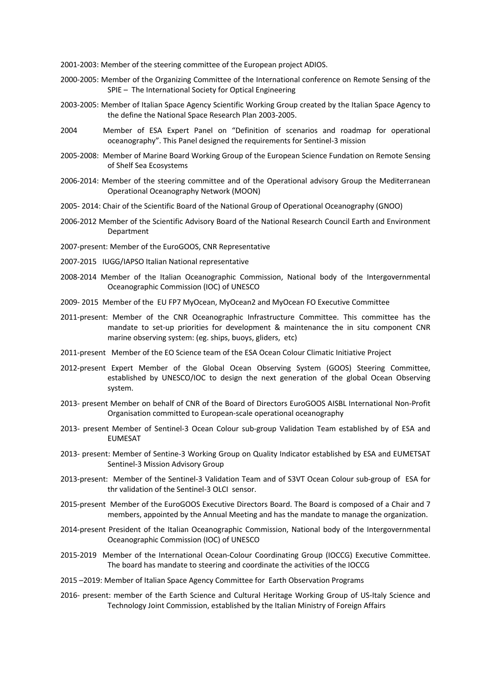2001-2003: Member of the steering committee of the European project ADIOS.

- 2000-2005: Member of the Organizing Committee of the International conference on Remote Sensing of the SPIE – The International Society for Optical Engineering
- 2003-2005: Member of Italian Space Agency Scientific Working Group created by the Italian Space Agency to the define the National Space Research Plan 2003-2005.
- 2004 Member of ESA Expert Panel on "Definition of scenarios and roadmap for operational oceanography". This Panel designed the requirements for Sentinel-3 mission
- 2005-2008: Member of Marine Board Working Group of the European Science Fundation on Remote Sensing of Shelf Sea Ecosystems
- 2006-2014: Member of the steering committee and of the Operational advisory Group the Mediterranean Operational Oceanography Network (MOON)
- 2005- 2014: Chair of the Scientific Board of the National Group of Operational Oceanography (GNOO)
- 2006-2012 Member of the Scientific Advisory Board of the National Research Council Earth and Environment Department
- 2007-present: Member of the EuroGOOS, CNR Representative
- 2007-2015 IUGG/IAPSO Italian National representative
- 2008-2014 Member of the Italian Oceanographic Commission, National body of the Intergovernmental Oceanographic Commission (IOC) of UNESCO
- 2009- 2015 Member of the EU FP7 MyOcean, MyOcean2 and MyOcean FO Executive Committee
- 2011-present: Member of the CNR Oceanographic Infrastructure Committee. This committee has the mandate to set-up priorities for development & maintenance the in situ component CNR marine observing system: (eg. ships, buoys, gliders, etc)
- 2011-present Member of the EO Science team of the ESA Ocean Colour Climatic Initiative Project
- 2012-present Expert Member of the Global Ocean Observing System (GOOS) Steering Committee, established by UNESCO/IOC to design the next generation of the global Ocean Observing system.
- 2013- present Member on behalf of CNR of the Board of Directors EuroGOOS AISBL International Non-Profit Organisation committed to European-scale operational oceanography
- 2013- present Member of Sentinel-3 Ocean Colour sub-group Validation Team established by of ESA and EUMESAT
- 2013- present: Member of Sentine-3 Working Group on Quality Indicator established by ESA and EUMETSAT Sentinel-3 Mission Advisory Group
- 2013-present: Member of the Sentinel-3 Validation Team and of S3VT Ocean Colour sub-group of ESA for thr validation of the Sentinel-3 OLCI sensor.
- 2015-present Member of the EuroGOOS Executive Directors Board. The Board is composed of a Chair and 7 members, appointed by the Annual Meeting and has the mandate to manage the organization.
- 2014-present President of the Italian Oceanographic Commission, National body of the Intergovernmental Oceanographic Commission (IOC) of UNESCO
- 2015-2019 Member of the International Ocean-Colour Coordinating Group (IOCCG) Executive Committee. The board has mandate to steering and coordinate the activities of the IOCCG
- 2015 –2019: Member of Italian Space Agency Committee for Earth Observation Programs
- 2016- present: member of the Earth Science and Cultural Heritage Working Group of US-Italy Science and Technology Joint Commission, established by the Italian Ministry of Foreign Affairs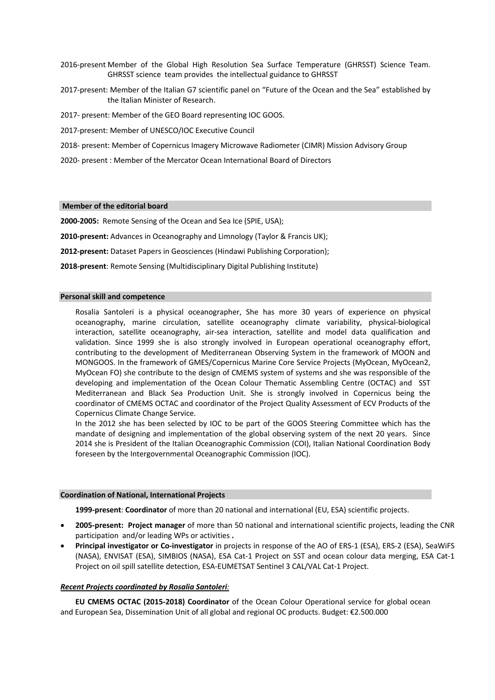- 2016-present Member of the Global High Resolution Sea Surface Temperature (GHRSST) Science Team. GHRSST science team provides the intellectual guidance to GHRSST
- 2017-present: Member of the Italian G7 scientific panel on "Future of the Ocean and the Sea" established by the Italian Minister of Research.
- 2017- present: Member of the GEO Board representing IOC GOOS.
- 2017-present: Member of UNESCO/IOC Executive Council
- 2018- present: Member of Copernicus Imagery Microwave Radiometer (CIMR) Mission Advisory Group
- 2020- present : Member of the Mercator Ocean International Board of Directors

### **Member of the editorial board**

**2000-2005:** Remote Sensing of the Ocean and Sea Ice (SPIE, USA);

- **2010-present:** Advances in Oceanography and Limnology (Taylor & Francis UK);
- **2012-present:** Dataset Papers in Geosciences (Hindawi Publishing Corporation);
- **2018-present**: Remote Sensing (Multidisciplinary Digital Publishing Institute)

#### **Personal skill and competence**

Rosalia Santoleri is a physical oceanographer, She has more 30 years of experience on physical oceanography, marine circulation, satellite oceanography climate variability, physical-biological interaction, satellite oceanography, air-sea interaction, satellite and model data qualification and validation. Since 1999 she is also strongly involved in European operational oceanography effort, contributing to the development of Mediterranean Observing System in the framework of MOON and MONGOOS. In the framework of GMES/Copernicus Marine Core Service Projects (MyOcean, MyOcean2, MyOcean FO) she contribute to the design of CMEMS system of systems and she was responsible of the developing and implementation of the Ocean Colour Thematic Assembling Centre (OCTAC) and SST Mediterranean and Black Sea Production Unit. She is strongly involved in Copernicus being the coordinator of CMEMS OCTAC and coordinator of the Project Quality Assessment of ECV Products of the Copernicus Climate Change Service.

In the 2012 she has been selected by IOC to be part of the GOOS Steering Committee which has the mandate of designing and implementation of the global observing system of the next 20 years. Since 2014 she is President of the Italian Oceanographic Commission (COI), Italian National Coordination Body foreseen by the Intergovernmental Oceanographic Commission (IOC).

#### **Coordination of National, International Projects**

**1999-present**: **Coordinator** of more than 20 national and international (EU, ESA) scientific projects.

- **2005-present: Project manager** of more than 50 national and international scientific projects, leading the CNR participation and/or leading WPs or activities **.**
- **Principal investigator or Co-investigator** in projects in response of the AO of ERS-1 (ESA), ERS-2 (ESA), SeaWiFS (NASA), ENVISAT (ESA), SIMBIOS (NASA), ESA Cat-1 Project on SST and ocean colour data merging, ESA Cat-1 Project on oil spill satellite detection, ESA-EUMETSAT Sentinel 3 CAL/VAL Cat-1 Project.

### *Recent Projects coordinated by Rosalia Santoleri:*

**EU CMEMS OCTAC (2015-2018) Coordinator** of the Ocean Colour Operational service for global ocean and European Sea, Dissemination Unit of all global and regional OC products. Budget: €2.500.000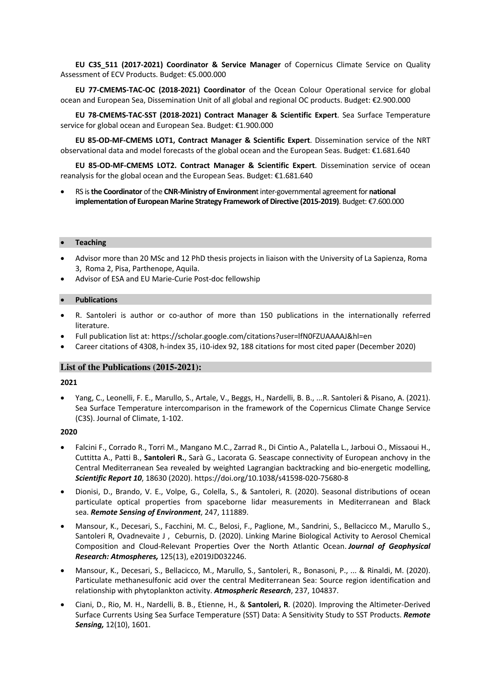**EU C3S\_511 (2017-2021) Coordinator & Service Manager** of Copernicus Climate Service on Quality Assessment of ECV Products. Budget: €5.000.000

**EU 77-CMEMS-TAC-OC (2018-2021) Coordinator** of the Ocean Colour Operational service for global ocean and European Sea, Dissemination Unit of all global and regional OC products. Budget: €2.900.000

**EU 78-CMEMS-TAC-SST (2018-2021) Contract Manager & Scientific Expert**. Sea Surface Temperature service for global ocean and European Sea. Budget: €1.900.000

**EU 85-OD-MF-CMEMS LOT1, Contract Manager & Scientific Expert**. Dissemination service of the NRT observational data and model forecasts of the global ocean and the European Seas. Budget: €1.681.640

**EU 85-OD-MF-CMEMS LOT2. Contract Manager & Scientific Expert**. Dissemination service of ocean reanalysis for the global ocean and the European Seas. Budget: €1.681.640

RS is the Coordinator of the CNR-Ministry of Environment inter-governmental agreement for national **implementation of European Marine Strategy Framework of Directive (2015-2019)**. Budget: €7.600.000

#### • **Teaching**

- Advisor more than 20 MSc and 12 PhD thesis projects in liaison with the University of La Sapienza, Roma 3, Roma 2, Pisa, Parthenope, Aquila.
- Advisor of ESA and EU Marie-Curie Post-doc fellowship

### • **Publications**

- R. Santoleri is author or co-author of more than 150 publications in the internationally referred literature.
- Full publication list at: https://scholar.google.com/citations?user=lfN0FZUAAAAJ&hl=en
- Career citations of 4308, h-index 35, i10-idex 92, 188 citations for most cited paper (December 2020)

# **List of the Publications (2015-2021):**

#### **2021**

• Yang, C., Leonelli, F. E., Marullo, S., Artale, V., Beggs, H., Nardelli, B. B., ...R. Santoleri & Pisano, A. (2021). Sea Surface Temperature intercomparison in the framework of the Copernicus Climate Change Service (C3S). Journal of Climate, 1-102.

- Falcini F., Corrado R., Torri M., Mangano M.C., Zarrad R., Di Cintio A., Palatella L., Jarboui O., Missaoui H., Cuttitta A., Patti B., **Santoleri R.**, Sarà G., Lacorata G. Seascape connectivity of European anchovy in the Central Mediterranean Sea revealed by weighted Lagrangian backtracking and bio-energetic modelling, *Scientific Report 10*, 18630 (2020). https://doi.org/10.1038/s41598-020-75680-8
- Dionisi, D., Brando, V. E., Volpe, G., Colella, S., & Santoleri, R. (2020). Seasonal distributions of ocean particulate optical properties from spaceborne lidar measurements in Mediterranean and Black sea. *Remote Sensing of Environment*, 247, 111889.
- Mansour, K., Decesari, S., Facchini, M. C., Belosi, F., Paglione, M., Sandrini, S., Bellacicco M., Marullo S., Santoleri R, Ovadnevaite J, Ceburnis, D. (2020). Linking Marine Biological Activity to Aerosol Chemical Composition and Cloud-Relevant Properties Over the North Atlantic Ocean. *Journal of Geophysical Research: Atmospheres,* 125(13), e2019JD032246.
- Mansour, K., Decesari, S., Bellacicco, M., Marullo, S., Santoleri, R., Bonasoni, P., ... & Rinaldi, M. (2020). Particulate methanesulfonic acid over the central Mediterranean Sea: Source region identification and relationship with phytoplankton activity. *Atmospheric Research*, 237, 104837.
- Ciani, D., Rio, M. H., Nardelli, B. B., Etienne, H., & **Santoleri, R**. (2020). Improving the Altimeter-Derived Surface Currents Using Sea Surface Temperature (SST) Data: A Sensitivity Study to SST Products. *Remote Sensing,* 12(10), 1601.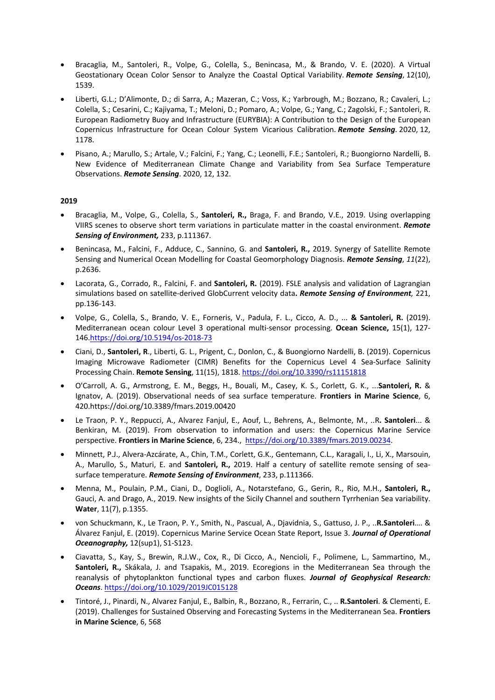- Bracaglia, M., Santoleri, R., Volpe, G., Colella, S., Benincasa, M., & Brando, V. E. (2020). A Virtual Geostationary Ocean Color Sensor to Analyze the Coastal Optical Variability. *Remote Sensing*, 12(10), 1539.
- Liberti, G.L.; D'Alimonte, D.; di Sarra, A.; Mazeran, C.; Voss, K.; Yarbrough, M.; Bozzano, R.; Cavaleri, L.; Colella, S.; Cesarini, C.; Kajiyama, T.; Meloni, D.; Pomaro, A.; Volpe, G.; Yang, C.; Zagolski, F.; Santoleri, R. European Radiometry Buoy and Infrastructure (EURYBIA): A Contribution to the Design of the European Copernicus Infrastructure for Ocean Colour System Vicarious Calibration. *Remote Sensing*. 2020, 12, 1178.
- Pisano, A.; Marullo, S.; Artale, V.; Falcini, F.; Yang, C.; Leonelli, F.E.; Santoleri, R.; Buongiorno Nardelli, B. New Evidence of Mediterranean Climate Change and Variability from Sea Surface Temperature Observations. *Remote Sensing*. 2020, 12, 132.

- Bracaglia, M., Volpe, G., Colella, S., **Santoleri, R.,** Braga, F. and Brando, V.E., 2019. Using overlapping VIIRS scenes to observe short term variations in particulate matter in the coastal environment. *Remote Sensing of Environment,* 233, p.111367.
- Benincasa, M., Falcini, F., Adduce, C., Sannino, G. and **Santoleri, R.,** 2019. Synergy of Satellite Remote Sensing and Numerical Ocean Modelling for Coastal Geomorphology Diagnosis. *Remote Sensing*, *11*(22), p.2636.
- Lacorata, G., Corrado, R., Falcini, F. and **Santoleri, R.** (2019). FSLE analysis and validation of Lagrangian simulations based on satellite-derived GlobCurrent velocity data**.** *Remote Sensing of Environment,* 221, pp.136-143.
- Volpe, G., Colella, S., Brando, V. E., Forneris, V., Padula, F. L., Cicco, A. D., ... **& Santoleri, R.** (2019). Mediterranean ocean colour Level 3 operational multi-sensor processing. **Ocean Science,** 15(1), 127- 146.https://doi.org/10.5194/os-2018-73
- Ciani, D., **Santoleri, R**., Liberti, G. L., Prigent, C., Donlon, C., & Buongiorno Nardelli, B. (2019). Copernicus Imaging Microwave Radiometer (CIMR) Benefits for the Copernicus Level 4 Sea-Surface Salinity Processing Chain. **Remote Sensing**, 11(15), 1818. https://doi.org/10.3390/rs11151818
- O'Carroll, A. G., Armstrong, E. M., Beggs, H., Bouali, M., Casey, K. S., Corlett, G. K., ...**Santoleri, R.** & Ignatov, A. (2019). Observational needs of sea surface temperature. **Frontiers in Marine Science**, 6, 420.https://doi.org/10.3389/fmars.2019.00420
- Le Traon, P. Y., Reppucci, A., Alvarez Fanjul, E., Aouf, L., Behrens, A., Belmonte, M., ..R**. Santoleri**... & Benkiran, M. (2019). From observation to information and users: the Copernicus Marine Service perspective. **Frontiers in Marine Science**, 6, 234., https://doi.org/10.3389/fmars.2019.00234.
- Minnett, P.J., Alvera-Azcárate, A., Chin, T.M., Corlett, G.K., Gentemann, C.L., Karagali, I., Li, X., Marsouin, A., Marullo, S., Maturi, E. and **Santoleri, R.,** 2019. Half a century of satellite remote sensing of seasurface temperature. *Remote Sensing of Environment*, 233, p.111366.
- Menna, M., Poulain, P.M., Ciani, D., Doglioli, A., Notarstefano, G., Gerin, R., Rio, M.H., **Santoleri, R.,** Gauci, A. and Drago, A., 2019. New insights of the Sicily Channel and southern Tyrrhenian Sea variability. **Water**, 11(7), p.1355.
- von Schuckmann, K., Le Traon, P. Y., Smith, N., Pascual, A., Djavidnia, S., Gattuso, J. P., ..**R.Santoleri**…. & Álvarez Fanjul, E. (2019). Copernicus Marine Service Ocean State Report, Issue 3. *Journal of Operational Oceanography,* 12(sup1), S1-S123.
- Ciavatta, S., Kay, S., Brewin, R.J.W., Cox, R., Di Cicco, A., Nencioli, F., Polimene, L., Sammartino, M., **Santoleri, R.,** Skákala, J. and Tsapakis, M., 2019. Ecoregions in the Mediterranean Sea through the reanalysis of phytoplankton functional types and carbon fluxes. *Journal of Geophysical Research: Oceans*. https://doi.org/10.1029/2019JC015128
- Tintoré, J., Pinardi, N., Alvarez Fanjul, E., Balbin, R., Bozzano, R., Ferrarin, C., .. **R.Santoleri**. & Clementi, E. (2019). Challenges for Sustained Observing and Forecasting Systems in the Mediterranean Sea. **Frontiers in Marine Science**, 6, 568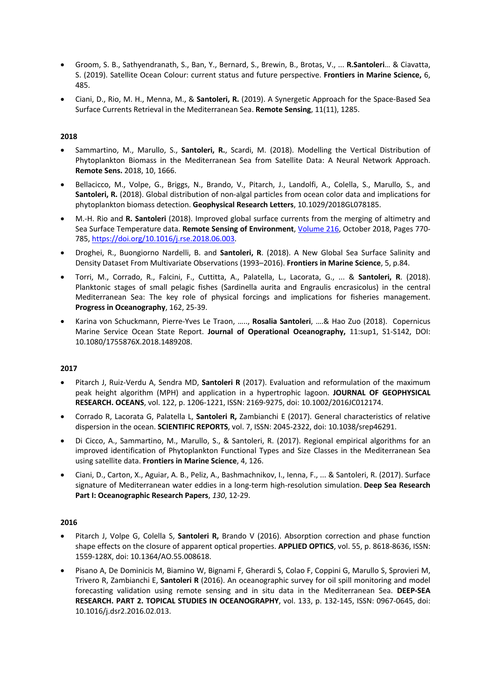- Groom, S. B., Sathyendranath, S., Ban, Y., Bernard, S., Brewin, B., Brotas, V., ... **R.Santoleri**… & Ciavatta, S. (2019). Satellite Ocean Colour: current status and future perspective. **Frontiers in Marine Science,** 6, 485.
- Ciani, D., Rio, M. H., Menna, M., & **Santoleri, R.** (2019). A Synergetic Approach for the Space-Based Sea Surface Currents Retrieval in the Mediterranean Sea. **Remote Sensing**, 11(11), 1285.

# **2018**

- Sammartino, M., Marullo, S., **Santoleri, R.**, Scardi, M. (2018). Modelling the Vertical Distribution of Phytoplankton Biomass in the Mediterranean Sea from Satellite Data: A Neural Network Approach. **Remote Sens.** 2018, 10, 1666.
- Bellacicco, M., Volpe, G., Briggs, N., Brando, V., Pitarch, J., Landolfi, A., Colella, S., Marullo, S., and **Santoleri, R.** (2018). Global distribution of non-algal particles from ocean color data and implications for phytoplankton biomass detection. **Geophysical Research Letters**, 10.1029/2018GL078185.
- M.-H. Rio and **R. Santoleri** (2018). Improved global surface currents from the merging of altimetry and Sea Surface Temperature data. **Remote Sensing of Environment**, Volume 216, October 2018, Pages 770- 785, https://doi.org/10.1016/j.rse.2018.06.003.
- Droghei, R., Buongiorno Nardelli, B. and **Santoleri, R**. (2018). A New Global Sea Surface Salinity and Density Dataset From Multivariate Observations (1993–2016). **Frontiers in Marine Science**, 5, p.84.
- Torri, M., Corrado, R., Falcini, F., Cuttitta, A., Palatella, L., Lacorata, G., ... & **Santoleri, R**. (2018). Planktonic stages of small pelagic fishes (Sardinella aurita and Engraulis encrasicolus) in the central Mediterranean Sea: The key role of physical forcings and implications for fisheries management. **Progress in Oceanography**, 162, 25-39.
- Karina von Schuckmann, Pierre-Yves Le Traon, ….., **Rosalia Santoleri**, ….& Hao Zuo (2018). Copernicus Marine Service Ocean State Report. **Journal of Operational Oceanography,** 11:sup1, S1-S142, DOI: 10.1080/1755876X.2018.1489208.

# **2017**

- Pitarch J, Ruiz-Verdu A, Sendra MD, **Santoleri R** (2017). Evaluation and reformulation of the maximum peak height algorithm (MPH) and application in a hypertrophic lagoon. **JOURNAL OF GEOPHYSICAL RESEARCH. OCEANS**, vol. 122, p. 1206-1221, ISSN: 2169-9275, doi: 10.1002/2016JC012174.
- Corrado R, Lacorata G, Palatella L, **Santoleri R,** Zambianchi E (2017). General characteristics of relative dispersion in the ocean. **SCIENTIFIC REPORTS**, vol. 7, ISSN: 2045-2322, doi: 10.1038/srep46291.
- Di Cicco, A., Sammartino, M., Marullo, S., & Santoleri, R. (2017). Regional empirical algorithms for an improved identification of Phytoplankton Functional Types and Size Classes in the Mediterranean Sea using satellite data. **Frontiers in Marine Science**, 4, 126.
- Ciani, D., Carton, X., Aguiar, A. B., Peliz, A., Bashmachnikov, I., Ienna, F., ... & Santoleri, R. (2017). Surface signature of Mediterranean water eddies in a long-term high-resolution simulation. **Deep Sea Research Part I: Oceanographic Research Papers**, *130*, 12-29.

- Pitarch J, Volpe G, Colella S, **Santoleri R,** Brando V (2016). Absorption correction and phase function shape effects on the closure of apparent optical properties. **APPLIED OPTICS**, vol. 55, p. 8618-8636, ISSN: 1559-128X, doi: 10.1364/AO.55.008618.
- Pisano A, De Dominicis M, Biamino W, Bignami F, Gherardi S, Colao F, Coppini G, Marullo S, Sprovieri M, Trivero R, Zambianchi E, **Santoleri R** (2016). An oceanographic survey for oil spill monitoring and model forecasting validation using remote sensing and in situ data in the Mediterranean Sea. **DEEP-SEA RESEARCH. PART 2. TOPICAL STUDIES IN OCEANOGRAPHY**, vol. 133, p. 132-145, ISSN: 0967-0645, doi: 10.1016/j.dsr2.2016.02.013.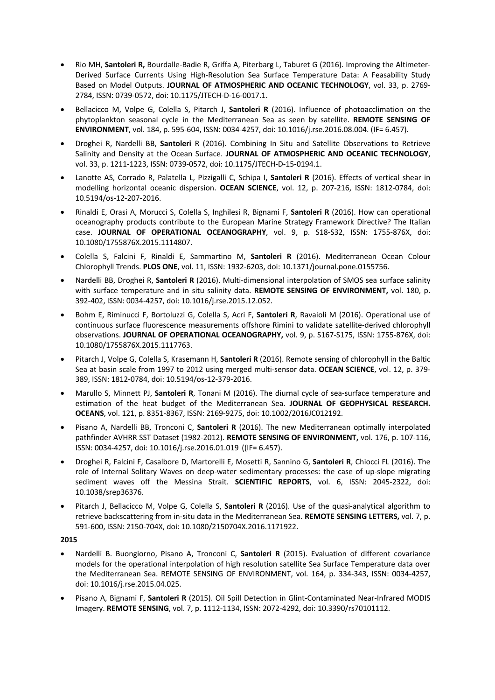- Rio MH, **Santoleri R,** Bourdalle-Badie R, Griffa A, Piterbarg L, Taburet G (2016). Improving the Altimeter-Derived Surface Currents Using High-Resolution Sea Surface Temperature Data: A Feasability Study Based on Model Outputs. **JOURNAL OF ATMOSPHERIC AND OCEANIC TECHNOLOGY**, vol. 33, p. 2769- 2784, ISSN: 0739-0572, doi: 10.1175/JTECH-D-16-0017.1.
- Bellacicco M, Volpe G, Colella S, Pitarch J, **Santoleri R** (2016). Influence of photoacclimation on the phytoplankton seasonal cycle in the Mediterranean Sea as seen by satellite. **REMOTE SENSING OF ENVIRONMENT**, vol. 184, p. 595-604, ISSN: 0034-4257, doi: 10.1016/j.rse.2016.08.004. (IF= 6.457).
- Droghei R, Nardelli BB, **Santoleri** R (2016). Combining In Situ and Satellite Observations to Retrieve Salinity and Density at the Ocean Surface. **JOURNAL OF ATMOSPHERIC AND OCEANIC TECHNOLOGY**, vol. 33, p. 1211-1223, ISSN: 0739-0572, doi: 10.1175/JTECH-D-15-0194.1.
- Lanotte AS, Corrado R, Palatella L, Pizzigalli C, Schipa I, **Santoleri R** (2016). Effects of vertical shear in modelling horizontal oceanic dispersion. **OCEAN SCIENCE**, vol. 12, p. 207-216, ISSN: 1812-0784, doi: 10.5194/os-12-207-2016.
- Rinaldi E, Orasi A, Morucci S, Colella S, Inghilesi R, Bignami F, **Santoleri R** (2016). How can operational oceanography products contribute to the European Marine Strategy Framework Directive? The Italian case. **JOURNAL OF OPERATIONAL OCEANOGRAPHY**, vol. 9, p. S18-S32, ISSN: 1755-876X, doi: 10.1080/1755876X.2015.1114807.
- Colella S, Falcini F, Rinaldi E, Sammartino M, **Santoleri R** (2016). Mediterranean Ocean Colour Chlorophyll Trends. **PLOS ONE**, vol. 11, ISSN: 1932-6203, doi: 10.1371/journal.pone.0155756.
- Nardelli BB, Droghei R, **Santoleri R** (2016). Multi-dimensional interpolation of SMOS sea surface salinity with surface temperature and in situ salinity data. **REMOTE SENSING OF ENVIRONMENT,** vol. 180, p. 392-402, ISSN: 0034-4257, doi: 10.1016/j.rse.2015.12.052.
- Bohm E, Riminucci F, Bortoluzzi G, Colella S, Acri F, **Santoleri R**, Ravaioli M (2016). Operational use of continuous surface fluorescence measurements offshore Rimini to validate satellite-derived chlorophyll observations. **JOURNAL OF OPERATIONAL OCEANOGRAPHY,** vol. 9, p. S167-S175, ISSN: 1755-876X, doi: 10.1080/1755876X.2015.1117763.
- Pitarch J, Volpe G, Colella S, Krasemann H, **Santoleri R** (2016). Remote sensing of chlorophyll in the Baltic Sea at basin scale from 1997 to 2012 using merged multi-sensor data. **OCEAN SCIENCE**, vol. 12, p. 379- 389, ISSN: 1812-0784, doi: 10.5194/os-12-379-2016.
- Marullo S, Minnett PJ, **Santoleri R**, Tonani M (2016). The diurnal cycle of sea-surface temperature and estimation of the heat budget of the Mediterranean Sea. **JOURNAL OF GEOPHYSICAL RESEARCH. OCEANS**, vol. 121, p. 8351-8367, ISSN: 2169-9275, doi: 10.1002/2016JC012192.
- Pisano A, Nardelli BB, Tronconi C, **Santoleri R** (2016). The new Mediterranean optimally interpolated pathfinder AVHRR SST Dataset (1982-2012). **REMOTE SENSING OF ENVIRONMENT,** vol. 176, p. 107-116, ISSN: 0034-4257, doi: 10.1016/j.rse.2016.01.019 ((IF= 6.457).
- Droghei R, Falcini F, Casalbore D, Martorelli E, Mosetti R, Sannino G, **Santoleri R**, Chiocci FL (2016). The role of Internal Solitary Waves on deep-water sedimentary processes: the case of up-slope migrating sediment waves off the Messina Strait. **SCIENTIFIC REPORTS**, vol. 6, ISSN: 2045-2322, doi: 10.1038/srep36376.
- Pitarch J, Bellacicco M, Volpe G, Colella S, **Santoleri R** (2016). Use of the quasi-analytical algorithm to retrieve backscattering from in-situ data in the Mediterranean Sea. **REMOTE SENSING LETTERS,** vol. 7, p. 591-600, ISSN: 2150-704X, doi: 10.1080/2150704X.2016.1171922.

- Nardelli B. Buongiorno, Pisano A, Tronconi C, **Santoleri R** (2015). Evaluation of different covariance models for the operational interpolation of high resolution satellite Sea Surface Temperature data over the Mediterranean Sea. REMOTE SENSING OF ENVIRONMENT, vol. 164, p. 334-343, ISSN: 0034-4257, doi: 10.1016/j.rse.2015.04.025.
- Pisano A, Bignami F, **Santoleri R** (2015). Oil Spill Detection in Glint-Contaminated Near-Infrared MODIS Imagery. **REMOTE SENSING**, vol. 7, p. 1112-1134, ISSN: 2072-4292, doi: 10.3390/rs70101112.